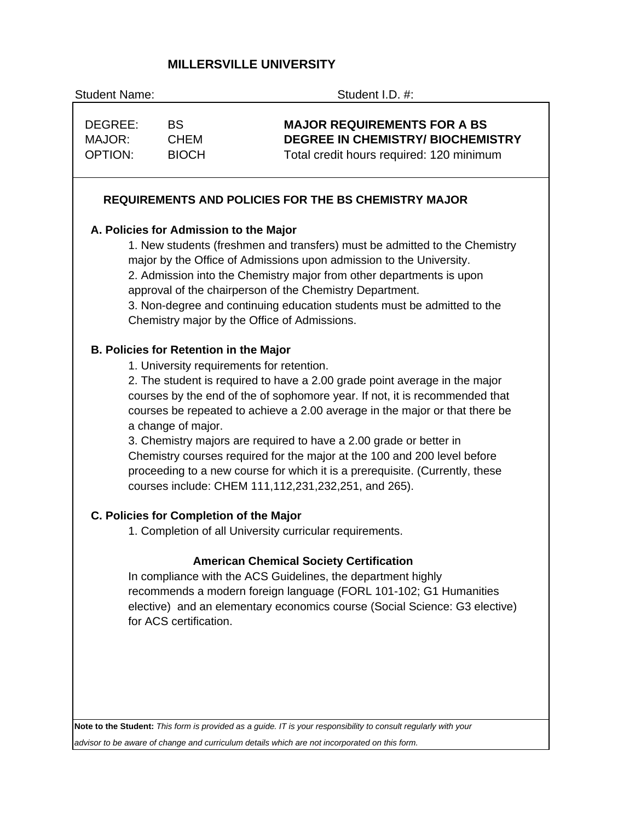# **MILLERSVILLE UNIVERSITY**

| <b>Student Name:</b>                |                                                                                                                                                                                                                                                                                                                                                                                                                                                                                                                                                                                                                                                            | Student I.D. #:                                                                                                                                                                                                                                                                                                                                                                                                  |  |  |  |  |  |
|-------------------------------------|------------------------------------------------------------------------------------------------------------------------------------------------------------------------------------------------------------------------------------------------------------------------------------------------------------------------------------------------------------------------------------------------------------------------------------------------------------------------------------------------------------------------------------------------------------------------------------------------------------------------------------------------------------|------------------------------------------------------------------------------------------------------------------------------------------------------------------------------------------------------------------------------------------------------------------------------------------------------------------------------------------------------------------------------------------------------------------|--|--|--|--|--|
| DEGREE:<br>MAJOR:<br><b>OPTION:</b> | <b>BS</b><br><b>CHEM</b><br><b>BIOCH</b>                                                                                                                                                                                                                                                                                                                                                                                                                                                                                                                                                                                                                   | <b>MAJOR REQUIREMENTS FOR A BS</b><br><b>DEGREE IN CHEMISTRY/ BIOCHEMISTRY</b><br>Total credit hours required: 120 minimum                                                                                                                                                                                                                                                                                       |  |  |  |  |  |
|                                     |                                                                                                                                                                                                                                                                                                                                                                                                                                                                                                                                                                                                                                                            | <b>REQUIREMENTS AND POLICIES FOR THE BS CHEMISTRY MAJOR</b>                                                                                                                                                                                                                                                                                                                                                      |  |  |  |  |  |
|                                     | A. Policies for Admission to the Major                                                                                                                                                                                                                                                                                                                                                                                                                                                                                                                                                                                                                     | 1. New students (freshmen and transfers) must be admitted to the Chemistry<br>major by the Office of Admissions upon admission to the University.<br>2. Admission into the Chemistry major from other departments is upon<br>approval of the chairperson of the Chemistry Department.<br>3. Non-degree and continuing education students must be admitted to the<br>Chemistry major by the Office of Admissions. |  |  |  |  |  |
|                                     | <b>B. Policies for Retention in the Major</b><br>1. University requirements for retention.<br>2. The student is required to have a 2.00 grade point average in the major<br>courses by the end of the of sophomore year. If not, it is recommended that<br>courses be repeated to achieve a 2.00 average in the major or that there be<br>a change of major.<br>3. Chemistry majors are required to have a 2.00 grade or better in<br>Chemistry courses required for the major at the 100 and 200 level before<br>proceeding to a new course for which it is a prerequisite. (Currently, these<br>courses include: CHEM 111, 112, 231, 232, 251, and 265). |                                                                                                                                                                                                                                                                                                                                                                                                                  |  |  |  |  |  |
|                                     | C. Policies for Completion of the Major                                                                                                                                                                                                                                                                                                                                                                                                                                                                                                                                                                                                                    | 1. Completion of all University curricular requirements.                                                                                                                                                                                                                                                                                                                                                         |  |  |  |  |  |
|                                     | for ACS certification.                                                                                                                                                                                                                                                                                                                                                                                                                                                                                                                                                                                                                                     | <b>American Chemical Society Certification</b><br>In compliance with the ACS Guidelines, the department highly<br>recommends a modern foreign language (FORL 101-102; G1 Humanities<br>elective) and an elementary economics course (Social Science: G3 elective)                                                                                                                                                |  |  |  |  |  |
|                                     |                                                                                                                                                                                                                                                                                                                                                                                                                                                                                                                                                                                                                                                            | Note to the Student: This form is provided as a guide. IT is your responsibility to consult regularly with your                                                                                                                                                                                                                                                                                                  |  |  |  |  |  |
|                                     |                                                                                                                                                                                                                                                                                                                                                                                                                                                                                                                                                                                                                                                            |                                                                                                                                                                                                                                                                                                                                                                                                                  |  |  |  |  |  |

*advisor to be aware of change and curriculum details which are not incorporated on this form.*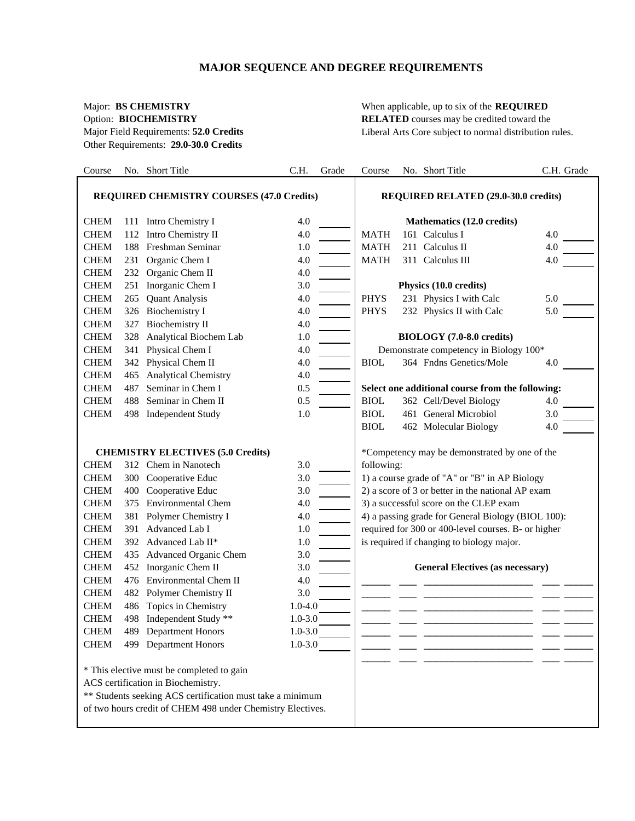# **MAJOR SEQUENCE AND DEGREE REQUIREMENTS**

Other Requirements: **29.0-30.0 Credits**

Major: **BS CHEMISTRY** When applicable, up to six of the **REQUIRED** Option: **BIOCHEMISTRY** RELATED courses may be credited toward the Major Field Requirements: **52.0 Credits** Liberal Arts Core subject to normal distribution rules.

| Course                                           |     | No. Short Title                                                                                                                                                                                            | C.H.        | Grade | Course                                        |  | No. Short Title                                     | C.H. Grade |  |
|--------------------------------------------------|-----|------------------------------------------------------------------------------------------------------------------------------------------------------------------------------------------------------------|-------------|-------|-----------------------------------------------|--|-----------------------------------------------------|------------|--|
| <b>REQUIRED CHEMISTRY COURSES (47.0 Credits)</b> |     |                                                                                                                                                                                                            |             |       | <b>REQUIRED RELATED (29.0-30.0 credits)</b>   |  |                                                     |            |  |
| <b>CHEM</b>                                      |     | 111 Intro Chemistry I                                                                                                                                                                                      | 4.0         |       |                                               |  | Mathematics (12.0 credits)                          |            |  |
| <b>CHEM</b>                                      |     | 112 Intro Chemistry II                                                                                                                                                                                     | 4.0         |       | <b>MATH</b>                                   |  | 161 Calculus I                                      | 4.0        |  |
| <b>CHEM</b>                                      |     | 188 Freshman Seminar                                                                                                                                                                                       | 1.0         |       | <b>MATH</b>                                   |  | 211 Calculus II                                     | 4.0        |  |
| <b>CHEM</b>                                      |     | 231 Organic Chem I                                                                                                                                                                                         | 4.0         |       | <b>MATH</b>                                   |  | 311 Calculus III                                    | 4.0        |  |
| <b>CHEM</b>                                      |     | 232 Organic Chem II                                                                                                                                                                                        | 4.0         |       |                                               |  |                                                     |            |  |
| <b>CHEM</b>                                      |     | 251 Inorganic Chem I                                                                                                                                                                                       | 3.0         |       |                                               |  | Physics (10.0 credits)                              |            |  |
| <b>CHEM</b>                                      | 265 | <b>Quant Analysis</b>                                                                                                                                                                                      | 4.0         |       | <b>PHYS</b>                                   |  | 231 Physics I with Calc                             | 5.0        |  |
| <b>CHEM</b>                                      |     | 326 Biochemistry I                                                                                                                                                                                         | 4.0         |       | <b>PHYS</b>                                   |  | 232 Physics II with Calc                            | 5.0        |  |
| <b>CHEM</b>                                      | 327 | <b>Biochemistry II</b>                                                                                                                                                                                     | 4.0         |       |                                               |  |                                                     |            |  |
| <b>CHEM</b>                                      |     | 328 Analytical Biochem Lab                                                                                                                                                                                 | 1.0         |       |                                               |  | BIOLOGY (7.0-8.0 credits)                           |            |  |
| <b>CHEM</b>                                      |     | 341 Physical Chem I                                                                                                                                                                                        | 4.0         |       |                                               |  | Demonstrate competency in Biology 100*              |            |  |
| <b>CHEM</b>                                      |     | 342 Physical Chem II                                                                                                                                                                                       | 4.0         |       | <b>BIOL</b>                                   |  | 364 Fndns Genetics/Mole                             | 4.0        |  |
| <b>CHEM</b>                                      | 465 | Analytical Chemistry                                                                                                                                                                                       | 4.0         |       |                                               |  |                                                     |            |  |
| <b>CHEM</b>                                      | 487 | Seminar in Chem I                                                                                                                                                                                          | 0.5         |       |                                               |  | Select one additional course from the following:    |            |  |
| <b>CHEM</b>                                      | 488 | Seminar in Chem II                                                                                                                                                                                         | 0.5         |       | <b>BIOL</b>                                   |  | 362 Cell/Devel Biology                              | 4.0        |  |
| <b>CHEM</b>                                      |     | 498 Independent Study                                                                                                                                                                                      | 1.0         |       | <b>BIOL</b>                                   |  | 461 General Microbiol                               | 3.0        |  |
|                                                  |     |                                                                                                                                                                                                            |             |       | <b>BIOL</b>                                   |  | 462 Molecular Biology                               | 4.0        |  |
|                                                  |     |                                                                                                                                                                                                            |             |       |                                               |  |                                                     |            |  |
|                                                  |     | <b>CHEMISTRY ELECTIVES (5.0 Credits)</b>                                                                                                                                                                   |             |       | *Competency may be demonstrated by one of the |  |                                                     |            |  |
| <b>CHEM</b>                                      |     | 312 Chem in Nanotech                                                                                                                                                                                       | 3.0         |       | following:                                    |  |                                                     |            |  |
| <b>CHEM</b>                                      |     | 300 Cooperative Educ                                                                                                                                                                                       | 3.0         |       |                                               |  | 1) a course grade of "A" or "B" in AP Biology       |            |  |
| <b>CHEM</b>                                      |     | 400 Cooperative Educ                                                                                                                                                                                       | 3.0         |       |                                               |  | 2) a score of 3 or better in the national AP exam   |            |  |
| <b>CHEM</b>                                      |     | 375 Environmental Chem                                                                                                                                                                                     | 4.0         |       |                                               |  | 3) a successful score on the CLEP exam              |            |  |
| <b>CHEM</b>                                      |     | 381 Polymer Chemistry I                                                                                                                                                                                    | 4.0         |       |                                               |  | 4) a passing grade for General Biology (BIOL 100):  |            |  |
| <b>CHEM</b>                                      |     | 391 Advanced Lab I                                                                                                                                                                                         | 1.0         |       |                                               |  | required for 300 or 400-level courses. B- or higher |            |  |
| <b>CHEM</b>                                      |     | 392 Advanced Lab II*                                                                                                                                                                                       | 1.0         |       |                                               |  | is required if changing to biology major.           |            |  |
| <b>CHEM</b>                                      |     | 435 Advanced Organic Chem                                                                                                                                                                                  | 3.0         |       |                                               |  |                                                     |            |  |
| <b>CHEM</b>                                      |     | 452 Inorganic Chem II                                                                                                                                                                                      | 3.0         |       |                                               |  | <b>General Electives (as necessary)</b>             |            |  |
| <b>CHEM</b>                                      |     | 476 Environmental Chem II                                                                                                                                                                                  | 4.0         |       |                                               |  |                                                     |            |  |
| <b>CHEM</b>                                      |     | 482 Polymer Chemistry II                                                                                                                                                                                   | 3.0         |       |                                               |  |                                                     |            |  |
| <b>CHEM</b>                                      | 486 | Topics in Chemistry                                                                                                                                                                                        | $1.0 - 4.0$ |       |                                               |  |                                                     |            |  |
| <b>CHEM</b>                                      |     | 498 Independent Study **                                                                                                                                                                                   | $1.0 - 3.0$ |       |                                               |  |                                                     |            |  |
| CHEM                                             |     | 489 Department Honors                                                                                                                                                                                      | $1.0 - 3.0$ |       |                                               |  |                                                     |            |  |
| <b>CHEM</b>                                      |     | 499 Department Honors                                                                                                                                                                                      | $1.0 - 3.0$ |       |                                               |  |                                                     |            |  |
|                                                  |     | * This elective must be completed to gain<br>ACS certification in Biochemistry.<br>** Students seeking ACS certification must take a minimum<br>of two hours credit of CHEM 498 under Chemistry Electives. |             |       |                                               |  |                                                     |            |  |
|                                                  |     |                                                                                                                                                                                                            |             |       |                                               |  |                                                     |            |  |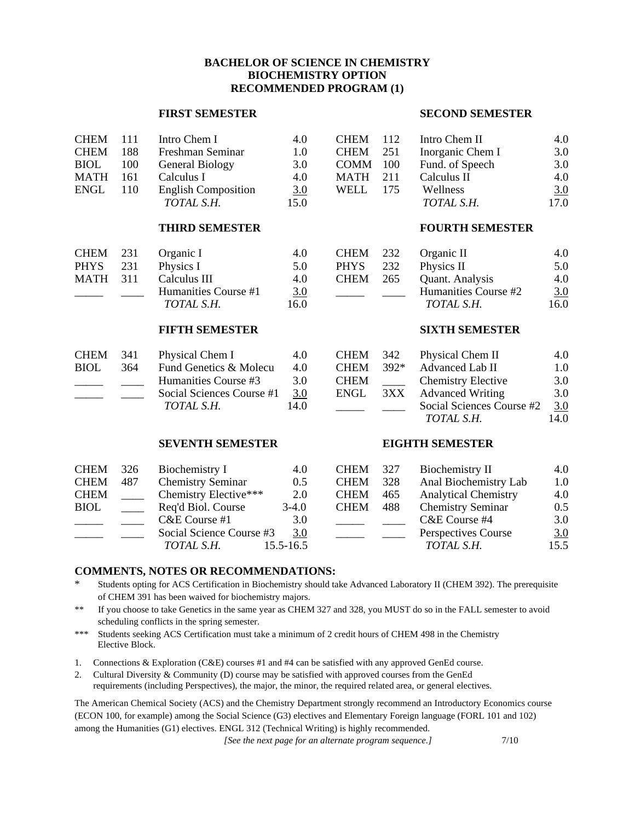# **BACHELOR OF SCIENCE IN CHEMISTRY BIOCHEMISTRY OPTION RECOMMENDED PROGRAM (1)**

### **FIRST SEMESTER SECOND SEMESTER**

Social Sciences Course #2 3.0 *TOTAL S.H.* 14.0

| CHEM 111    |     | Intro Chem I               | 4.0  | CHEM        | 112 | Intro Chem II    | 4.0               |
|-------------|-----|----------------------------|------|-------------|-----|------------------|-------------------|
| <b>CHEM</b> | 188 | Freshman Seminar           | 1.0  | <b>CHEM</b> | 251 | Inorganic Chem I | 3.0               |
| <b>BIOL</b> | 100 | General Biology            | 3.0  | <b>COMM</b> | 100 | Fund. of Speech  | 3.0               |
| <b>MATH</b> | 161 | Calculus I                 | 4.0  | MATH        | 211 | Calculus II      | 4.0               |
| <b>ENGL</b> | 110 | <b>English Composition</b> | 3.0  | WELL        | 175 | Wellness         | $\underline{3.0}$ |
|             |     | TOTAL S.H.                 | 15.0 |             |     | TOTAL S.H.       | 17.0              |

#### **THIRD SEMESTER FOURTH SEMESTER**

| CHEM 231        |     | Organic I            | 4.0               | CHEM 232    |     | Organic II           | 4.0  |
|-----------------|-----|----------------------|-------------------|-------------|-----|----------------------|------|
| <b>PHYS</b>     | 231 | Physics I            | 5.0               | <b>PHYS</b> | 232 | Physics II           | 5.0  |
| <b>MATH</b> 311 |     | Calculus III         | 4.0               | <b>CHEM</b> | 265 | Quant. Analysis      | 4.0  |
|                 |     | Humanities Course #1 | $\underline{3.0}$ |             |     | Humanities Course #2 | 3.0  |
|                 |     | TOTAL S.H.           | l 6.0             |             |     | <i>TOTAL S.H.</i>    | 16.0 |

#### **FIFTH SEMESTER SIXTH SEMESTER**

| <b>CHEM</b> | .34 L | Physical Chem I           | 4.   |
|-------------|-------|---------------------------|------|
| <b>BIOL</b> | 364   | Fund Genetics & Molecu    | 4.   |
|             |       | Humanities Course #3      | 3.0  |
|             |       | Social Sciences Course #1 | 3.0  |
|             |       | TOTAL S.H.                | 14.0 |

### **SEVENTH SEMESTER EIGHTH SEMESTER**

| CHEM | . 341 | Physical Chem I           | 4.0  |             | CHEM 342 Physical Chem II | 4.0 |
|------|-------|---------------------------|------|-------------|---------------------------|-----|
| BIOL | 364   | Fund Genetics & Molecu    | 4.0  | $CHEM$ 392* | Advanced Lab II           | 1.0 |
|      |       | Humanities Course #3      | 3.0  | <b>CHEM</b> | <b>Chemistry Elective</b> | 3.0 |
|      |       | Social Sciences Course #1 | 3.0  | ENGL        | 3XX Advanced Writing      | 3.0 |
|      |       | TOTAL S.H.                | 14.0 |             | Social Sciences Course #2 | 3.0 |

| CHEM | 326 | Biochemistry I           | 4.0           | <b>CHEM</b> | 327 | Biochemistry II             | 4.0               |
|------|-----|--------------------------|---------------|-------------|-----|-----------------------------|-------------------|
| CHEM | 487 | <b>Chemistry Seminar</b> | 0.5           | <b>CHEM</b> | 328 | Anal Biochemistry Lab       | 1.0               |
| CHEM |     | Chemistry Elective***    | 2.0           | <b>CHEM</b> | 465 | <b>Analytical Chemistry</b> | 4.0               |
| BIOL |     | Req'd Biol. Course       | $3-4.0$       | <b>CHEM</b> | 488 | <b>Chemistry Seminar</b>    | $0.5^{\circ}$     |
|      |     | $C&E$ Course #1          | 3.0           |             |     | C&E Course #4               | 3.0               |
|      |     | Social Science Course #3 | 3.0           |             |     | Perspectives Course         | $\underline{3.0}$ |
|      |     | TOTAL S.H.               | $15.5 - 16.5$ |             |     | TOTAL S.H.                  | 15.5              |

#### **COMMENTS, NOTES OR RECOMMENDATIONS:**

- Students opting for ACS Certification in Biochemistry should take Advanced Laboratory II (CHEM 392). The prerequisite of CHEM 391 has been waived for biochemistry majors.
- \*\* If you choose to take Genetics in the same year as CHEM 327 and 328, you MUST do so in the FALL semester to avoid scheduling conflicts in the spring semester.
- \*\*\* Students seeking ACS Certification must take a minimum of 2 credit hours of CHEM 498 in the Chemistry Elective Block.
- 1. Connections & Exploration (C&E) courses #1 and #4 can be satisfied with any approved GenEd course.
- 2. Cultural Diversity & Community (D) course may be satisfied with approved courses from the GenEd requirements (including Perspectives), the major, the minor, the required related area, or general electives.

The American Chemical Society (ACS) and the Chemistry Department strongly recommend an Introductory Economics course (ECON 100, for example) among the Social Science (G3) electives and Elementary Foreign language (FORL 101 and 102) among the Humanities (G1) electives. ENGL 312 (Technical Writing) is highly recommended.

*[See the next page for an alternate program sequence.]* 7/10